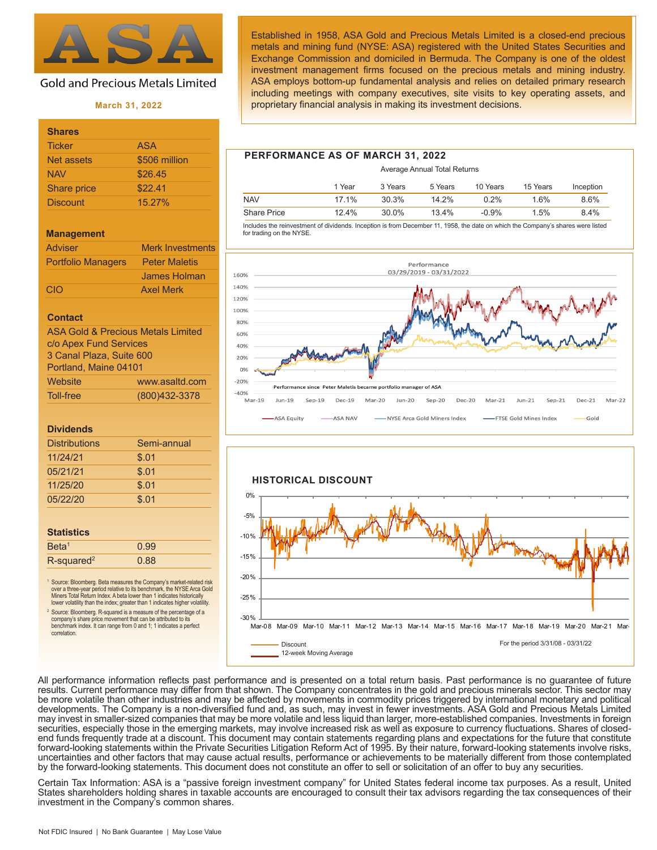

# **Gold and Precious Metals Limited**

# **March 31, 2022**

| <b>Shares</b>   |               |
|-----------------|---------------|
| <b>Ticker</b>   | <b>ASA</b>    |
| Net assets      | \$506 million |
| <b>NAV</b>      | \$26.45       |
| Share price     | \$22.41       |
| <b>Discount</b> | 15.27%        |

#### **Management**

| <b>Adviser</b>            | <b>Merk Investments</b> |
|---------------------------|-------------------------|
| <b>Portfolio Managers</b> | <b>Peter Maletis</b>    |
|                           | James Holman            |
| CIO                       | <b>Axel Merk</b>        |

#### **Contact**

| <b>ASA Gold &amp; Precious Metals Limited</b> |                |  |  |
|-----------------------------------------------|----------------|--|--|
| c/o Apex Fund Services                        |                |  |  |
| 3 Canal Plaza, Suite 600                      |                |  |  |
| Portland, Maine 04101                         |                |  |  |
| Website                                       | www.asaltd.com |  |  |
| Toll-free                                     | (800)432-3378  |  |  |

#### **Dividends**

| <b>Distributions</b> | Semi-annual |
|----------------------|-------------|
| 11/24/21             | \$.01       |
| 05/21/21             | \$.01       |
| 11/25/20             | \$.01       |
| 05/22/20             | \$.01       |
|                      |             |

#### **Statistics**

| Beta <sup>1</sup>         | 0.99 |  |
|---------------------------|------|--|
| $R$ -squared <sup>2</sup> | 0.88 |  |

<sup>1</sup> Source: Bloomberg. Beta measures the Company's market-related risk over a three-year period relative to its benchmark, the NYSE Arca Gold Miners Total Return Index. A beta lower than 1 indicates historically lower volatility than the index; greater than 1 indicates higher volatility.

2 Source: Bloomberg. R-squared is a measure of the percentage of a company's share price movement that can be attributed to its benchmark index. It can range from 0 and 1; 1 indicates a perfect correlation.

Established in 1958, ASA Gold and Precious Metals Limited is a closed-end precious metals and mining fund (NYSE: ASA) registered with the United States Securities and Exchange Commission and domiciled in Bermuda. The Company is one of the oldest investment management firms focused on the precious metals and mining industry. ASA employs bottom-up fundamental analysis and relies on detailed primary research including meetings with company executives, site visits to key operating assets, and proprietary financial analysis in making its investment decisions.

# **PERFORMANCE AS OF MARCH 31, 2022**

|                    |        | Average Annual Total Returns |         |          |          |           |  |
|--------------------|--------|------------------------------|---------|----------|----------|-----------|--|
|                    | 1 Year | 3 Years                      | 5 Years | 10 Years | 15 Years | Inception |  |
| <b>NAV</b>         | 17.1%  | 30.3%                        | 14.2%   | 0.2%     | 1.6%     | 8.6%      |  |
| <b>Share Price</b> | 12.4%  | $30.0\%$                     | 13.4%   | $-0.9\%$ | 1.5%     | 8.4%      |  |

 Includes the reinvestment of dividends. Inception is from December 11, 1958, the date on which the Company's shares were listed for trading on the NYSE.





All performance information reflects past performance and is presented on a total return basis. Past performance is no guarantee of future results. Current performance may differ from that shown. The Company concentrates in the gold and precious minerals sector. This sector may be more volatile than other industries and may be affected by movements in commodity prices triggered by international monetary and political developments. The Company is a non-diversified fund and, as such, may invest in fewer investments. ASA Gold and Precious Metals Limited may invest in smaller-sized companies that may be more volatile and less liquid than larger, more-established companies. Investments in foreign securities, especially those in the emerging markets, may involve increased risk as well as exposure to currency fluctuations. Shares of closedend funds frequently trade at a discount. This document may contain statements regarding plans and expectations for the future that constitute forward-looking statements within the Private Securities Litigation Reform Act of 1995. By their nature, forward-looking statements involve risks, uncertainties and other factors that may cause actual results, performance or achievements to be materially different from those contemplated by the forward-looking statements. This document does not constitute an offer to sell or solicitation of an offer to buy any securities.

Certain Tax Information: ASA is a "passive foreign investment company" for United States federal income tax purposes. As a result, United States shareholders holding shares in taxable accounts are encouraged to consult their tax advisors regarding the tax consequences of their investment in the Company's common shares.